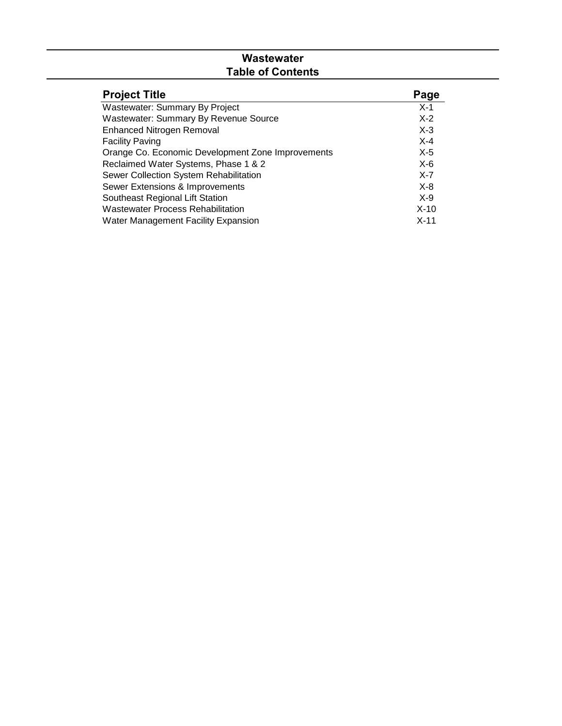# **Wastewater Table of Contents**

| <b>Project Title</b>                              | Page    |
|---------------------------------------------------|---------|
| Wastewater: Summary By Project                    | $X-1$   |
| <b>Wastewater: Summary By Revenue Source</b>      | $X-2$   |
| <b>Enhanced Nitrogen Removal</b>                  | $X-3$   |
| <b>Facility Paving</b>                            | $X-4$   |
| Orange Co. Economic Development Zone Improvements | X-5     |
| Reclaimed Water Systems, Phase 1 & 2              | $X-6$   |
| Sewer Collection System Rehabilitation            | $X - 7$ |
| Sewer Extensions & Improvements                   | $X-8$   |
| Southeast Regional Lift Station                   | $X-9$   |
| <b>Wastewater Process Rehabilitation</b>          | $X-10$  |
| Water Management Facility Expansion               | $X-11$  |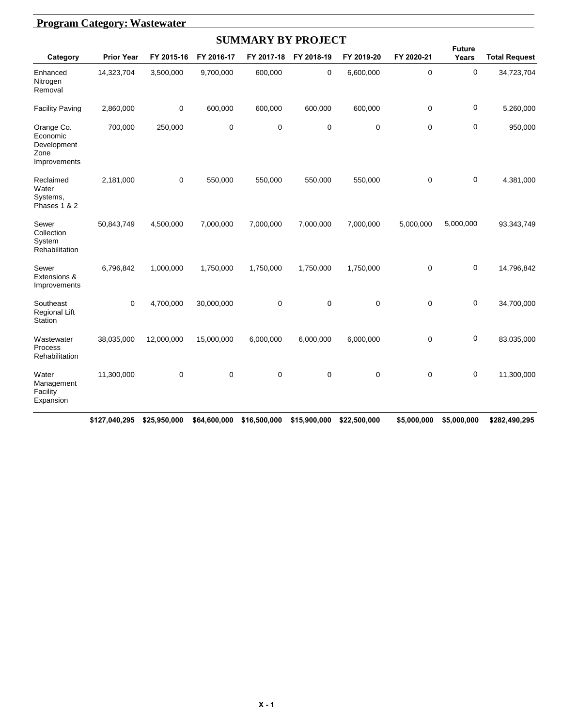|                                                               | <b>Program Category: Wastewater</b> |            |             |                           |             |             |             |                        |                      |  |  |  |
|---------------------------------------------------------------|-------------------------------------|------------|-------------|---------------------------|-------------|-------------|-------------|------------------------|----------------------|--|--|--|
|                                                               |                                     |            |             | <b>SUMMARY BY PROJECT</b> |             |             |             |                        |                      |  |  |  |
| Category                                                      | <b>Prior Year</b>                   | FY 2015-16 | FY 2016-17  | FY 2017-18                | FY 2018-19  | FY 2019-20  | FY 2020-21  | <b>Future</b><br>Years | <b>Total Request</b> |  |  |  |
| Enhanced<br>Nitrogen<br>Removal                               | 14,323,704                          | 3,500,000  | 9,700,000   | 600,000                   | 0           | 6,600,000   | 0           | $\pmb{0}$              | 34,723,704           |  |  |  |
| <b>Facility Paving</b>                                        | 2,860,000                           | 0          | 600,000     | 600,000                   | 600,000     | 600,000     | 0           | $\mathbf 0$            | 5,260,000            |  |  |  |
| Orange Co.<br>Economic<br>Development<br>Zone<br>Improvements | 700,000                             | 250,000    | $\mathbf 0$ | $\mathbf 0$               | $\mathbf 0$ | $\mathbf 0$ | $\mathbf 0$ | $\mathbf 0$            | 950,000              |  |  |  |
| Reclaimed<br>Water<br>Systems,<br>Phases 1 & 2                | 2,181,000                           | 0          | 550,000     | 550,000                   | 550,000     | 550,000     | 0           | 0                      | 4,381,000            |  |  |  |
| Sewer<br>Collection<br>System<br>Rehabilitation               | 50,843,749                          | 4,500,000  | 7,000,000   | 7,000,000                 | 7,000,000   | 7,000,000   | 5,000,000   | 5,000,000              | 93,343,749           |  |  |  |
| Sewer<br>Extensions &<br>Improvements                         | 6,796,842                           | 1,000,000  | 1,750,000   | 1,750,000                 | 1,750,000   | 1,750,000   | $\mathbf 0$ | 0                      | 14,796,842           |  |  |  |
| Southeast<br>Regional Lift<br>Station                         | 0                                   | 4,700,000  | 30,000,000  | $\pmb{0}$                 | $\mathbf 0$ | $\mathbf 0$ | $\pmb{0}$   | $\pmb{0}$              | 34,700,000           |  |  |  |
| Wastewater<br>Process<br>Rehabilitation                       | 38,035,000                          | 12,000,000 | 15,000,000  | 6,000,000                 | 6,000,000   | 6,000,000   | 0           | $\boldsymbol{0}$       | 83,035,000           |  |  |  |
| Water<br>Management<br>Facility<br>Expansion                  | 11,300,000                          | 0          | $\mathbf 0$ | $\mathbf 0$               | $\mathbf 0$ | $\mathbf 0$ | 0           | $\mathbf 0$            | 11,300,000           |  |  |  |

#### **\$127,040,295 \$25,950,000 \$64,600,000 \$16,500,000 \$15,900,000 \$22,500,000 \$5,000,000 \$5,000,000 \$282,490,295**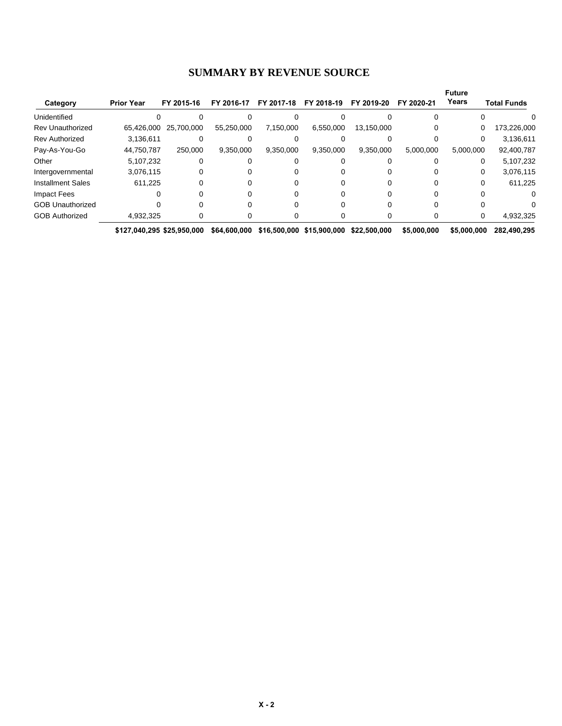#### **SUMMARY BY REVENUE SOURCE**

|                          |                            |            |              |            |                           |               |             | <b>Future</b> |                    |
|--------------------------|----------------------------|------------|--------------|------------|---------------------------|---------------|-------------|---------------|--------------------|
| Category                 | <b>Prior Year</b>          | FY 2015-16 | FY 2016-17   | FY 2017-18 | FY 2018-19                | 2019-20<br>FΥ | FY 2020-21  | Years         | <b>Total Funds</b> |
| Unidentified             |                            |            |              |            |                           |               |             |               |                    |
| <b>Rev Unauthorized</b>  | 65,426,000                 | 25.700.000 | 55,250,000   | 7,150,000  | 6,550,000                 | 13,150,000    |             | 0             | 173,226,000        |
| <b>Rev Authorized</b>    | 3,136,611                  |            |              |            |                           |               |             | 0             | 3,136,611          |
| Pay-As-You-Go            | 44,750,787                 | 250.000    | 9,350,000    | 9,350,000  | 9,350,000                 | 9,350,000     | 5,000,000   | 5,000,000     | 92,400,787         |
| Other                    | 5.107.232                  |            |              |            |                           |               |             | 0             | 5,107,232          |
| Intergovernmental        | 3,076,115                  |            |              |            |                           |               |             | 0             | 3,076,115          |
| <b>Installment Sales</b> | 611.225                    |            |              |            |                           |               |             | 0             | 611,225            |
| Impact Fees              |                            |            |              |            |                           |               |             |               |                    |
| <b>GOB Unauthorized</b>  |                            |            |              |            |                           |               |             |               |                    |
| <b>GOB Authorized</b>    | 4,932,325                  |            |              |            |                           |               |             | 0             | 4,932,325          |
|                          | \$127.040.295 \$25.950.000 |            | \$64,600,000 |            | \$16,500,000 \$15,900,000 | \$22,500,000  | \$5,000,000 | \$5,000,000   | 282.490.295        |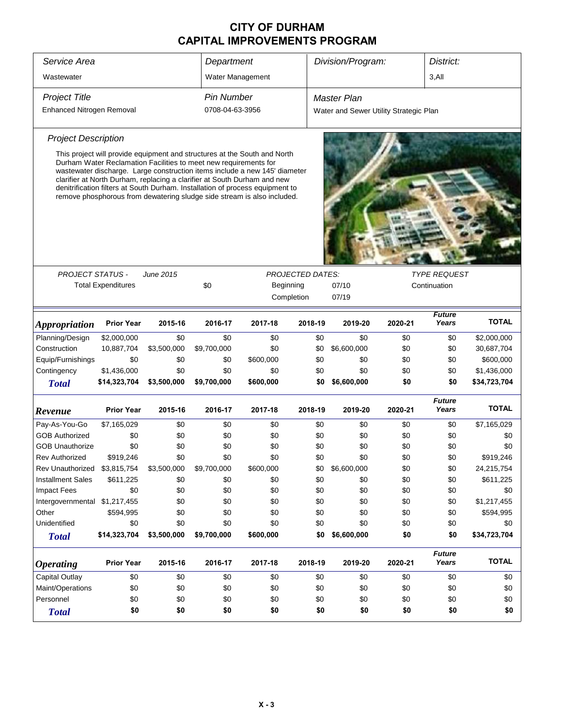| Service Area<br>Department    |                           |                                                                                                                                                                                                                                                                                                                                                                                                                                                                                  |                   |                         |         | Division/Program:<br>District:         |                     |                        |              |  |
|-------------------------------|---------------------------|----------------------------------------------------------------------------------------------------------------------------------------------------------------------------------------------------------------------------------------------------------------------------------------------------------------------------------------------------------------------------------------------------------------------------------------------------------------------------------|-------------------|-------------------------|---------|----------------------------------------|---------------------|------------------------|--------------|--|
| Wastewater                    |                           |                                                                                                                                                                                                                                                                                                                                                                                                                                                                                  | Water Management  |                         |         |                                        |                     | 3,All                  |              |  |
| <b>Project Title</b>          |                           |                                                                                                                                                                                                                                                                                                                                                                                                                                                                                  | <b>Pin Number</b> |                         |         | <b>Master Plan</b>                     |                     |                        |              |  |
| Enhanced Nitrogen Removal     |                           |                                                                                                                                                                                                                                                                                                                                                                                                                                                                                  | 0708-04-63-3956   |                         |         |                                        |                     |                        |              |  |
|                               |                           |                                                                                                                                                                                                                                                                                                                                                                                                                                                                                  |                   |                         |         | Water and Sewer Utility Strategic Plan |                     |                        |              |  |
| <b>Project Description</b>    |                           |                                                                                                                                                                                                                                                                                                                                                                                                                                                                                  |                   |                         |         |                                        |                     |                        |              |  |
| <b>PROJECT STATUS -</b>       |                           | This project will provide equipment and structures at the South and North<br>Durham Water Reclamation Facilities to meet new requirements for<br>wastewater discharge. Large construction items include a new 145' diameter<br>clarifier at North Durham, replacing a clarifier at South Durham and new<br>denitrification filters at South Durham. Installation of process equipment to<br>remove phosphorous from dewatering sludge side stream is also included.<br>June 2015 |                   | <b>PROJECTED DATES:</b> |         |                                        | <b>TYPE REQUEST</b> |                        |              |  |
|                               | <b>Total Expenditures</b> |                                                                                                                                                                                                                                                                                                                                                                                                                                                                                  | \$0               | Beginning               |         | 07/10<br>Continuation                  |                     |                        |              |  |
|                               |                           |                                                                                                                                                                                                                                                                                                                                                                                                                                                                                  |                   | Completion              |         | 07/19                                  |                     |                        |              |  |
| <i><b>Appropriation</b></i>   | <b>Prior Year</b>         | 2015-16                                                                                                                                                                                                                                                                                                                                                                                                                                                                          | 2016-17           | 2017-18                 | 2018-19 | 2019-20                                | 2020-21             | <b>Future</b><br>Years | <b>TOTAL</b> |  |
| Planning/Design               | \$2,000,000               | \$0                                                                                                                                                                                                                                                                                                                                                                                                                                                                              | \$0               | \$0                     | \$0     | \$0                                    | \$0                 | \$0                    | \$2,000,000  |  |
| Construction                  | 10,887,704                | \$3,500,000                                                                                                                                                                                                                                                                                                                                                                                                                                                                      | \$9,700,000       | \$0                     | \$0     | \$6,600,000                            | \$0                 | \$0                    | 30,687,704   |  |
| Equip/Furnishings             | \$0                       | \$0                                                                                                                                                                                                                                                                                                                                                                                                                                                                              | \$0               | \$600,000               | \$0     | \$0                                    | \$0                 | \$0                    | \$600,000    |  |
| Contingency                   | \$1,436,000               | \$0                                                                                                                                                                                                                                                                                                                                                                                                                                                                              | \$0               | \$0                     | \$0     | \$0                                    | \$0                 | \$0                    | \$1,436,000  |  |
| <b>Total</b>                  | \$14,323,704              | \$3,500,000                                                                                                                                                                                                                                                                                                                                                                                                                                                                      | \$9,700,000       | \$600,000               | \$0     | \$6,600,000                            | \$0                 | \$0                    | \$34,723,704 |  |
| Revenue                       | <b>Prior Year</b>         | 2015-16                                                                                                                                                                                                                                                                                                                                                                                                                                                                          | 2016-17           | 2017-18                 | 2018-19 | 2019-20                                | 2020-21             | <b>Future</b><br>Years | <b>TOTAL</b> |  |
| Pay-As-You-Go                 | \$7,165,029               | \$0                                                                                                                                                                                                                                                                                                                                                                                                                                                                              | \$0               | \$0                     | \$0     | \$0                                    | \$0                 | \$0                    | \$7,165,029  |  |
| <b>GOB Authorized</b>         | \$0                       | \$0                                                                                                                                                                                                                                                                                                                                                                                                                                                                              | \$0               | \$0                     | \$0     | \$0                                    | \$0                 | \$0                    | \$0          |  |
| <b>GOB Unauthorize</b>        | \$0                       | \$0                                                                                                                                                                                                                                                                                                                                                                                                                                                                              | \$0               | \$0                     | \$0     | \$0                                    | \$0                 | \$0                    | \$0          |  |
| Rev Authorized                | \$919,246                 | \$0                                                                                                                                                                                                                                                                                                                                                                                                                                                                              | \$0               | \$0                     | \$0     | \$0                                    | \$0                 | \$0                    | \$919,246    |  |
| Rev Unauthorized \$3,815,754  |                           | \$3,500,000                                                                                                                                                                                                                                                                                                                                                                                                                                                                      | \$9,700,000       | \$600,000               | \$0     | \$6,600,000                            | \$0                 | \$0                    | 24,215,754   |  |
| <b>Installment Sales</b>      | \$611,225                 | \$0                                                                                                                                                                                                                                                                                                                                                                                                                                                                              | \$0               | \$0                     | \$0     | \$0                                    | \$0                 | \$0                    | \$611,225    |  |
| <b>Impact Fees</b>            | \$0                       | \$0                                                                                                                                                                                                                                                                                                                                                                                                                                                                              | \$0               | \$0                     | \$0     | \$0                                    | \$0                 | \$0                    | \$0          |  |
| Intergovernmental \$1,217,455 |                           | \$0                                                                                                                                                                                                                                                                                                                                                                                                                                                                              | \$0               | \$0                     | \$0     | \$0                                    | \$0                 | \$0                    | \$1,217,455  |  |
| Other                         | \$594,995                 | \$0                                                                                                                                                                                                                                                                                                                                                                                                                                                                              | \$0               | \$0                     | \$0     | \$0                                    | \$0                 | \$0                    | \$594,995    |  |
| Unidentified                  | \$0                       | \$0                                                                                                                                                                                                                                                                                                                                                                                                                                                                              | \$0               | \$0                     | \$0     | \$0                                    | \$0                 | \$0                    | \$0          |  |
| <b>Total</b>                  | \$14,323,704              | \$3,500,000                                                                                                                                                                                                                                                                                                                                                                                                                                                                      | \$9,700,000       | \$600,000               | \$0     | \$6,600,000                            | \$0                 | \$0                    | \$34,723,704 |  |
| <b>Operating</b>              | <b>Prior Year</b>         | 2015-16                                                                                                                                                                                                                                                                                                                                                                                                                                                                          | 2016-17           | 2017-18                 | 2018-19 | 2019-20                                | 2020-21             | <b>Future</b><br>Years | <b>TOTAL</b> |  |
| Capital Outlay                | \$0                       | \$0                                                                                                                                                                                                                                                                                                                                                                                                                                                                              | \$0               | \$0                     | \$0     | \$0                                    | \$0                 | \$0                    | \$0          |  |
| Maint/Operations              | \$0                       | \$0                                                                                                                                                                                                                                                                                                                                                                                                                                                                              | \$0               | \$0                     | \$0     | \$0                                    | \$0                 | \$0                    | \$0          |  |
| Personnel                     | \$0                       | \$0                                                                                                                                                                                                                                                                                                                                                                                                                                                                              | \$0               | \$0                     | \$0     | \$0                                    | \$0                 | \$0                    | \$0          |  |
| <b>Total</b>                  | \$0                       | \$0                                                                                                                                                                                                                                                                                                                                                                                                                                                                              | \$0               | \$0                     | \$0     | \$0                                    | \$0                 | \$0                    | \$0          |  |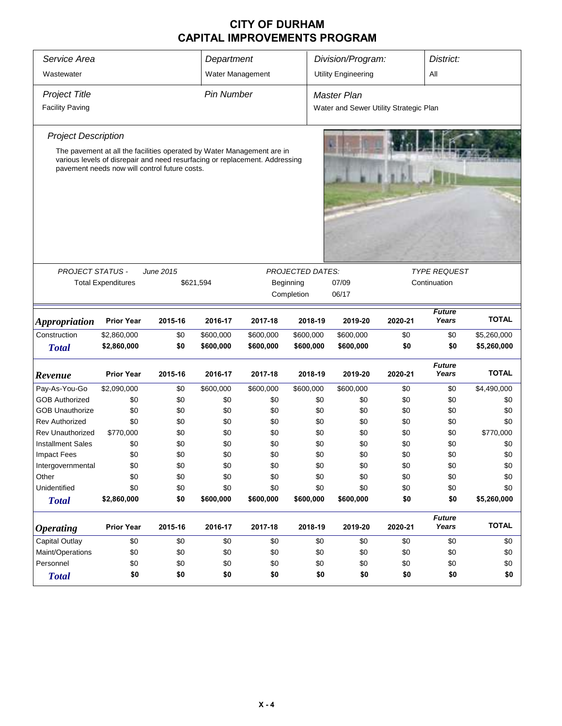| Service Area                                                                                                                                                                                                                         | Department<br>Division/Program:<br>District: |                                                      |                   |            |                                                    |                                                       |            |                                     |              |  |  |
|--------------------------------------------------------------------------------------------------------------------------------------------------------------------------------------------------------------------------------------|----------------------------------------------|------------------------------------------------------|-------------------|------------|----------------------------------------------------|-------------------------------------------------------|------------|-------------------------------------|--------------|--|--|
| Wastewater                                                                                                                                                                                                                           |                                              |                                                      | Water Management  |            |                                                    | <b>Utility Engineering</b>                            |            | Αll                                 |              |  |  |
| Project Title<br><b>Facility Paving</b>                                                                                                                                                                                              |                                              |                                                      | <b>Pin Number</b> |            |                                                    | Master Plan<br>Water and Sewer Utility Strategic Plan |            |                                     |              |  |  |
| <b>Project Description</b><br>The pavement at all the facilities operated by Water Management are in<br>various levels of disrepair and need resurfacing or replacement. Addressing<br>pavement needs now will control future costs. |                                              |                                                      |                   |            |                                                    |                                                       |            |                                     |              |  |  |
| <b>PROJECT STATUS -</b>                                                                                                                                                                                                              | <b>Total Expenditures</b>                    | June 2015<br>\$621,594                               |                   |            | <b>PROJECTED DATES:</b><br>Beginning<br>Completion | 07/09<br>06/17                                        |            | <b>TYPE REQUEST</b><br>Continuation |              |  |  |
| <b>Appropriation</b>                                                                                                                                                                                                                 | <b>Prior Year</b>                            | 2015-16                                              | 2016-17           | 2017-18    | 2018-19                                            | 2019-20                                               | 2020-21    | <b>Future</b><br>Years              | <b>TOTAL</b> |  |  |
| Construction                                                                                                                                                                                                                         | \$2,860,000                                  | \$0                                                  | \$600,000         | \$600,000  | \$600,000                                          | \$600,000                                             | \$0        | \$0                                 | \$5,260,000  |  |  |
| <b>Total</b>                                                                                                                                                                                                                         | \$2,860,000                                  | \$0                                                  | \$600,000         | \$600,000  | \$600,000                                          | \$600,000                                             | \$0        | \$0                                 | \$5,260,000  |  |  |
| Revenue                                                                                                                                                                                                                              | <b>Prior Year</b>                            | 2015-16                                              | 2016-17           | 2017-18    | 2018-19                                            | 2019-20                                               | 2020-21    | <b>Future</b><br>Years              | <b>TOTAL</b> |  |  |
| Pay-As-You-Go                                                                                                                                                                                                                        | \$2,090,000                                  | \$0                                                  | \$600,000         | \$600,000  | \$600,000                                          | \$600,000                                             | \$0        | \$0                                 | \$4,490,000  |  |  |
| <b>GOB Authorized</b>                                                                                                                                                                                                                | \$0                                          | \$0                                                  | \$0               | \$0        | \$0                                                | \$0                                                   | \$0        | \$0                                 | \$0          |  |  |
| <b>GOB Unauthorize</b>                                                                                                                                                                                                               | \$0                                          | \$0                                                  | \$0               | \$0        | \$0                                                | \$0                                                   | \$0        | \$0                                 | \$0          |  |  |
| <b>Rev Authorized</b>                                                                                                                                                                                                                | \$0                                          | \$0                                                  | \$0               | \$0        | \$0                                                | \$0                                                   | \$0        | \$0                                 | \$0          |  |  |
| <b>Rev Unauthorized</b>                                                                                                                                                                                                              | \$770,000                                    | \$0                                                  | \$0               | \$0        | \$0                                                | \$0                                                   | \$0        | \$0                                 | \$770,000    |  |  |
| <b>Installment Sales</b>                                                                                                                                                                                                             | \$0                                          | \$0                                                  | \$0               | \$0        | \$0                                                | \$0                                                   | \$0        | \$0                                 | \$0          |  |  |
| <b>Impact Fees</b>                                                                                                                                                                                                                   | \$0                                          | \$0                                                  | \$0               | \$0        | \$0                                                | \$0                                                   | \$0        | \$0                                 | \$0          |  |  |
| Intergovernmental<br>Other                                                                                                                                                                                                           | \$0                                          | \$0                                                  | \$0               | \$0        | \$0                                                | \$0                                                   | \$0        | \$0                                 | \$0          |  |  |
| Unidentified                                                                                                                                                                                                                         | \$0<br>\$0                                   | \$0<br>\$0                                           | \$0<br>\$0        | \$0<br>\$0 | \$0<br>\$0                                         | \$0<br>\$0                                            | \$0<br>\$0 | \$0<br>\$0                          | \$0<br>\$0   |  |  |
| <b>Total</b>                                                                                                                                                                                                                         | \$2,860,000                                  | \$0                                                  | \$600,000         | \$600,000  | \$600,000                                          | \$600,000                                             | \$0        | \$0                                 | \$5,260,000  |  |  |
| <b>Operating</b>                                                                                                                                                                                                                     | <b>Prior Year</b>                            | 2015-16                                              | 2016-17           | 2017-18    | 2018-19                                            | 2019-20                                               | 2020-21    | <b>Future</b><br>Years              | <b>TOTAL</b> |  |  |
| Capital Outlay                                                                                                                                                                                                                       | \$0                                          | \$0                                                  | \$0               | \$0        | \$0                                                | \$0                                                   | \$0        | \$0                                 | \$0          |  |  |
| Maint/Operations                                                                                                                                                                                                                     | \$0                                          | \$0                                                  | \$0               | \$0        | \$0                                                | \$0                                                   | \$0        | \$0                                 | \$0          |  |  |
| Personnel                                                                                                                                                                                                                            | \$0                                          | \$0                                                  | \$0               | \$0        |                                                    | \$0                                                   | \$0        | \$0                                 | \$0          |  |  |
| <b>Total</b>                                                                                                                                                                                                                         | \$0                                          | \$0<br>\$0<br>\$0<br>\$0<br>\$0<br>\$0<br>\$0<br>\$0 |                   |            |                                                    |                                                       |            |                                     |              |  |  |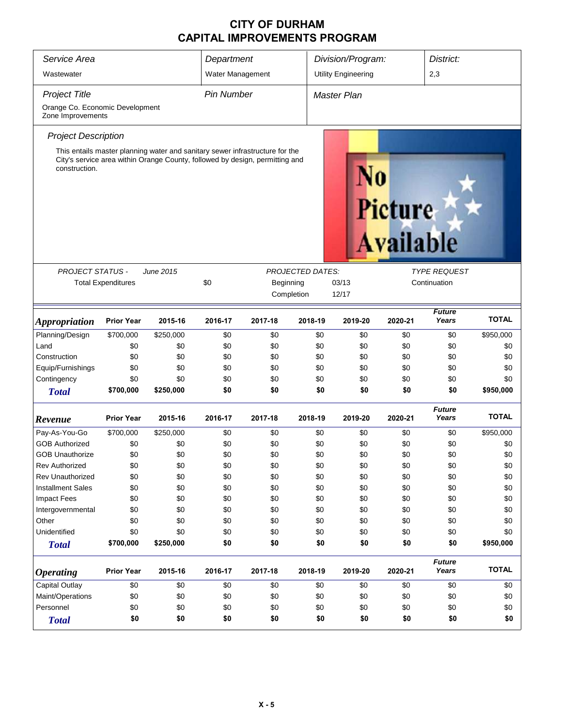| Service Area                                                                                  | Department        |                                                                                                                                                              |                   | Division/Program: |                             | District:                  |         |                        |              |  |
|-----------------------------------------------------------------------------------------------|-------------------|--------------------------------------------------------------------------------------------------------------------------------------------------------------|-------------------|-------------------|-----------------------------|----------------------------|---------|------------------------|--------------|--|
| Wastewater                                                                                    |                   |                                                                                                                                                              | Water Management  |                   |                             | <b>Utility Engineering</b> |         | 2,3                    |              |  |
| <b>Project Title</b>                                                                          |                   |                                                                                                                                                              | <b>Pin Number</b> |                   |                             | Master Plan                |         |                        |              |  |
| Orange Co. Economic Development<br>Zone Improvements                                          |                   |                                                                                                                                                              |                   |                   |                             |                            |         |                        |              |  |
| <b>Project Description</b>                                                                    |                   |                                                                                                                                                              |                   |                   |                             |                            |         |                        |              |  |
| construction.                                                                                 |                   | This entails master planning water and sanitary sewer infrastructure for the<br>City's service area within Orange County, followed by design, permitting and |                   |                   | Picture<br><b>Available</b> |                            |         |                        |              |  |
| <b>PROJECT STATUS -</b>                                                                       |                   | June 2015                                                                                                                                                    |                   |                   | <b>PROJECTED DATES:</b>     |                            |         | <b>TYPE REQUEST</b>    |              |  |
| \$0<br><b>Total Expenditures</b><br>03/13<br>Continuation<br>Beginning<br>Completion<br>12/17 |                   |                                                                                                                                                              |                   |                   |                             |                            |         |                        |              |  |
| <b>Appropriation</b>                                                                          | <b>Prior Year</b> | 2015-16                                                                                                                                                      | 2016-17           | 2017-18           | 2018-19                     | 2019-20                    | 2020-21 | <b>Future</b><br>Years | <b>TOTAL</b> |  |
| Planning/Design                                                                               | \$700,000         | \$250,000                                                                                                                                                    | \$0               | \$0               | \$0                         | \$0                        | \$0     | \$0                    | \$950,000    |  |
| Land                                                                                          | \$0               | \$0                                                                                                                                                          | \$0               | \$0               | \$0                         | \$0                        | \$0     | \$0                    | \$0          |  |
| Construction                                                                                  | \$0               | \$0                                                                                                                                                          | \$0               | \$0               | \$0                         | \$0                        | \$0     | \$0                    | \$0          |  |
| Equip/Furnishings                                                                             | \$0               | \$0                                                                                                                                                          | \$0               | \$0               | \$0                         | \$0                        | \$0     | \$0                    | \$0          |  |
| Contingency                                                                                   | \$0               | \$0                                                                                                                                                          | \$0               | \$0               | \$0                         | \$0                        | \$0     | \$0                    | \$0          |  |
| <b>Total</b>                                                                                  | \$700,000         | \$250,000                                                                                                                                                    | \$0               | \$0               | \$0                         | \$0                        | \$0     | \$0                    | \$950,000    |  |
| Revenue                                                                                       | <b>Prior Year</b> | 2015-16                                                                                                                                                      | 2016-17           | 2017-18           | 2018-19                     | 2019-20                    | 2020-21 | <b>Future</b><br>Years | <b>TOTAL</b> |  |
| Pay-As-You-Go                                                                                 | \$700,000         | \$250,000                                                                                                                                                    | \$0               | \$0               | \$0                         | \$0                        | \$0     | \$0                    | \$950,000    |  |
| <b>GOB Authorized</b>                                                                         | \$0               | \$0                                                                                                                                                          | \$0               | \$0               | \$0                         | \$0                        | \$0     | \$0                    | \$0          |  |
| <b>GOB Unauthorize</b>                                                                        | \$0               | \$0                                                                                                                                                          | \$0               | \$0               | \$0                         | \$0                        | \$0     | \$0                    | \$0          |  |
| <b>Rev Authorized</b>                                                                         | \$0               | \$0                                                                                                                                                          | \$0               | \$0               | \$0                         | \$0                        | \$0     | \$0                    | \$0          |  |
| <b>Rev Unauthorized</b>                                                                       | \$0               | \$0                                                                                                                                                          | \$0               | \$0               | \$0                         | \$0                        | \$0     | \$0                    | \$0          |  |
| <b>Installment Sales</b>                                                                      | \$0               | \$0                                                                                                                                                          | \$0               | \$0               | \$0                         | \$0                        | \$0     | \$0                    | \$0          |  |
| Impact Fees                                                                                   | \$0               | \$0                                                                                                                                                          | \$0               | \$0               | \$0                         | \$0                        | \$0     | \$0                    | \$0          |  |
| Intergovernmental                                                                             | \$0               | \$0                                                                                                                                                          | \$0               | \$0               | \$0                         | \$0                        | \$0     | \$0                    | \$0          |  |
| Other                                                                                         | \$0               | \$0                                                                                                                                                          | \$0               | \$0               | \$0                         | \$0                        | \$0     | \$0                    | \$0          |  |
| Unidentified                                                                                  | \$0               | \$0                                                                                                                                                          | \$0               | \$0               | \$0                         | \$0                        | \$0     | \$0                    | \$0          |  |
| <b>Total</b>                                                                                  | \$700,000         | \$250,000                                                                                                                                                    | \$0               | \$0               | \$0                         | \$0                        | \$0     | \$0                    | \$950,000    |  |
| <b>Operating</b>                                                                              | <b>Prior Year</b> | 2015-16                                                                                                                                                      | 2016-17           | 2017-18           | 2018-19                     | 2019-20                    | 2020-21 | <b>Future</b><br>Years | <b>TOTAL</b> |  |
| Capital Outlay                                                                                | \$0               | \$0                                                                                                                                                          | \$0               | \$0               | \$0                         | \$0                        | \$0     | \$0                    | \$0          |  |
| Maint/Operations                                                                              | \$0               | \$0                                                                                                                                                          | \$0               | \$0               | \$0                         | \$0                        | \$0     | \$0                    | \$0          |  |
| Personnel                                                                                     | \$0               | \$0                                                                                                                                                          | \$0               | \$0               | \$0                         | \$0                        | \$0     | \$0                    | \$0          |  |
| <b>Total</b>                                                                                  | \$0               | \$0                                                                                                                                                          | \$0               | \$0               | \$0                         | \$0                        | \$0     | \$0                    | \$0          |  |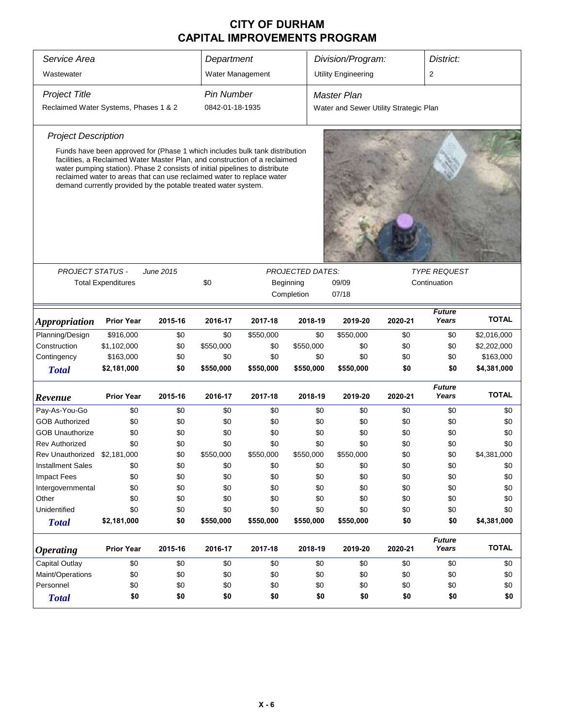| Service Area                          | Department                                                                                                                                                                                                                                                                                                                                                                           |                  |                   | Division/Program: |                                      | District:                              |         |                                     |              |
|---------------------------------------|--------------------------------------------------------------------------------------------------------------------------------------------------------------------------------------------------------------------------------------------------------------------------------------------------------------------------------------------------------------------------------------|------------------|-------------------|-------------------|--------------------------------------|----------------------------------------|---------|-------------------------------------|--------------|
| Wastewater                            |                                                                                                                                                                                                                                                                                                                                                                                      |                  | Water Management  |                   |                                      | <b>Utility Engineering</b>             |         | 2                                   |              |
| <b>Project Title</b>                  |                                                                                                                                                                                                                                                                                                                                                                                      |                  | <b>Pin Number</b> |                   |                                      | Master Plan                            |         |                                     |              |
| Reclaimed Water Systems, Phases 1 & 2 |                                                                                                                                                                                                                                                                                                                                                                                      |                  | 0842-01-18-1935   |                   |                                      | Water and Sewer Utility Strategic Plan |         |                                     |              |
| <b>Project Description</b>            |                                                                                                                                                                                                                                                                                                                                                                                      |                  |                   |                   |                                      |                                        |         |                                     |              |
|                                       | Funds have been approved for (Phase 1 which includes bulk tank distribution<br>facilities, a Reclaimed Water Master Plan, and construction of a reclaimed<br>water pumping station). Phase 2 consists of initial pipelines to distribute<br>reclaimed water to areas that can use reclaimed water to replace water<br>demand currently provided by the potable treated water system. |                  |                   |                   |                                      |                                        |         |                                     |              |
|                                       |                                                                                                                                                                                                                                                                                                                                                                                      |                  |                   |                   |                                      |                                        |         |                                     |              |
| <b>PROJECT STATUS -</b>               | <b>Total Expenditures</b>                                                                                                                                                                                                                                                                                                                                                            | <b>June 2015</b> | \$0               |                   | <b>PROJECTED DATES:</b><br>Beginning | 09/09                                  |         | <b>TYPE REQUEST</b><br>Continuation |              |
|                                       |                                                                                                                                                                                                                                                                                                                                                                                      |                  |                   |                   | Completion                           | 07/18                                  |         |                                     |              |
| Appropriation                         | <b>Prior Year</b>                                                                                                                                                                                                                                                                                                                                                                    | 2015-16          | 2016-17           | 2017-18           | 2018-19                              | 2019-20                                | 2020-21 | <b>Future</b><br>Years              | <b>TOTAL</b> |
| Planning/Design                       | \$916,000                                                                                                                                                                                                                                                                                                                                                                            | \$0              | \$0               | \$550,000         | \$0                                  | \$550,000                              | \$0     | \$0                                 | \$2,016,000  |
| Construction                          | \$1,102,000                                                                                                                                                                                                                                                                                                                                                                          | \$0              | \$550,000         | \$0               | \$550,000                            | \$0                                    | \$0     | \$0                                 | \$2,202,000  |
| Contingency                           | \$163,000                                                                                                                                                                                                                                                                                                                                                                            | \$0              | \$0               | \$0               | \$0                                  | \$0                                    | \$0     | \$0                                 | \$163,000    |
| <b>Total</b>                          | \$2,181,000                                                                                                                                                                                                                                                                                                                                                                          | \$0              | \$550,000         | \$550,000         | \$550,000                            | \$550,000                              | \$0     | \$0                                 | \$4,381,000  |
| Revenue                               | <b>Prior Year</b>                                                                                                                                                                                                                                                                                                                                                                    | 2015-16          | 2016-17           | 2017-18           | 2018-19                              | 2019-20                                | 2020-21 | <b>Future</b><br>Years              | <b>TOTAL</b> |
| Pay-As-You-Go                         | \$0                                                                                                                                                                                                                                                                                                                                                                                  | \$0              | \$0               | \$0               | \$0                                  | \$0                                    | \$0     | \$0                                 | \$0          |
| <b>GOB Authorized</b>                 | \$0                                                                                                                                                                                                                                                                                                                                                                                  | \$0              | \$0               | \$0               | \$0                                  | \$0                                    | \$0     | \$0                                 | \$0          |
| <b>GOB Unauthorize</b>                | \$0                                                                                                                                                                                                                                                                                                                                                                                  | \$0              | \$0               | \$0               | \$0                                  | \$0                                    | \$0     | \$0                                 | \$0          |
| <b>Rev Authorized</b>                 | \$0                                                                                                                                                                                                                                                                                                                                                                                  | \$0              | \$0               | \$0               | \$0                                  | \$0                                    | \$0     | \$0                                 | \$0          |
| Rev Unauthorized \$2,181,000          |                                                                                                                                                                                                                                                                                                                                                                                      | \$0              | \$550,000         | \$550,000         | \$550,000                            | \$550,000                              | \$0     | \$0                                 | \$4,381,000  |
| <b>Installment Sales</b>              | \$0                                                                                                                                                                                                                                                                                                                                                                                  | \$0              | \$0               | \$0               | \$0                                  | \$0                                    | \$0     | \$0                                 | \$0          |
| <b>Impact Fees</b>                    | \$0                                                                                                                                                                                                                                                                                                                                                                                  | \$0              | \$0               | \$0               | \$0                                  | \$0                                    | \$0     | \$0                                 | \$0          |
| Intergovernmental                     | \$0                                                                                                                                                                                                                                                                                                                                                                                  | \$0              | \$0               | \$0               | \$0                                  | \$0                                    | \$0     | \$0                                 | \$0          |
| Other                                 | \$0                                                                                                                                                                                                                                                                                                                                                                                  | \$0              | \$0               | \$0               | \$0                                  | \$0                                    | \$0     | \$0                                 | \$0          |
| Unidentified                          | \$0                                                                                                                                                                                                                                                                                                                                                                                  | \$0              | \$0               | \$0               | \$0                                  | \$0                                    | \$0     | \$0                                 | \$0          |
| <b>Total</b>                          | \$2,181,000                                                                                                                                                                                                                                                                                                                                                                          | \$0              | \$550,000         | \$550,000         | \$550,000                            | \$550,000                              | \$0     | \$0                                 | \$4,381,000  |
| <b>Operating</b>                      | <b>Prior Year</b>                                                                                                                                                                                                                                                                                                                                                                    | 2015-16          | 2016-17           | 2017-18           | 2018-19                              | 2019-20                                | 2020-21 | <b>Future</b><br>Years              | <b>TOTAL</b> |
| <b>Capital Outlay</b>                 | \$0                                                                                                                                                                                                                                                                                                                                                                                  | \$0              | \$0               | \$0               | \$0                                  | \$0                                    | \$0     | \$0                                 | \$0          |
| Maint/Operations                      | \$0                                                                                                                                                                                                                                                                                                                                                                                  | \$0              | \$0               | \$0               | \$0                                  | \$0                                    | \$0     | \$0                                 | \$0          |
| Personnel                             | \$0                                                                                                                                                                                                                                                                                                                                                                                  | \$0              | \$0               | \$0               | \$0                                  | \$0                                    | \$0     | \$0                                 | \$0          |
| <b>Total</b>                          | \$0                                                                                                                                                                                                                                                                                                                                                                                  | \$0              | \$0               | \$0               | \$0                                  | \$0                                    | \$0     | \$0                                 | \$0          |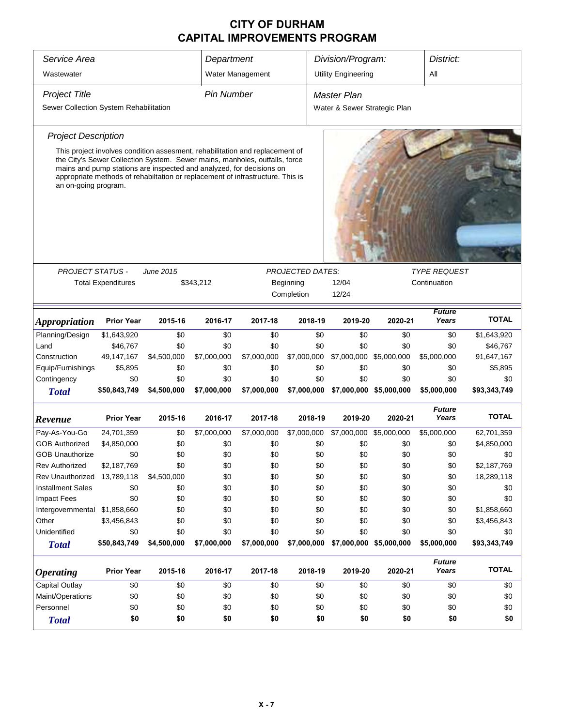| Service Area                           |                                                                                                                                                                                                                                                                                                                      |             |                   | Department       |                                      | Division/Program:<br>District: |                         |                        |              |  |
|----------------------------------------|----------------------------------------------------------------------------------------------------------------------------------------------------------------------------------------------------------------------------------------------------------------------------------------------------------------------|-------------|-------------------|------------------|--------------------------------------|--------------------------------|-------------------------|------------------------|--------------|--|
| Wastewater                             |                                                                                                                                                                                                                                                                                                                      |             |                   | Water Management |                                      | <b>Utility Engineering</b>     |                         | All                    |              |  |
| <b>Project Title</b>                   |                                                                                                                                                                                                                                                                                                                      |             | <b>Pin Number</b> |                  |                                      | Master Plan                    |                         |                        |              |  |
| Sewer Collection System Rehabilitation |                                                                                                                                                                                                                                                                                                                      |             |                   |                  |                                      | Water & Sewer Strategic Plan   |                         |                        |              |  |
| <b>Project Description</b>             |                                                                                                                                                                                                                                                                                                                      |             |                   |                  |                                      |                                |                         |                        |              |  |
| an on-going program.                   | This project involves condition assesment, rehabilitation and replacement of<br>the City's Sewer Collection System. Sewer mains, manholes, outfalls, force<br>mains and pump stations are inspected and analyzed, for decisions on<br>appropriate methods of rehabiltation or replacement of infrastructure. This is |             |                   |                  |                                      |                                |                         |                        |              |  |
| <b>PROJECT STATUS -</b>                |                                                                                                                                                                                                                                                                                                                      |             |                   |                  |                                      |                                |                         | <b>TYPE REQUEST</b>    |              |  |
|                                        | <b>Total Expenditures</b>                                                                                                                                                                                                                                                                                            | June 2015   | \$343,212         |                  | <b>PROJECTED DATES:</b><br>Beginning | 12/04                          |                         | Continuation           |              |  |
|                                        |                                                                                                                                                                                                                                                                                                                      |             |                   |                  | Completion                           | 12/24                          |                         |                        |              |  |
|                                        |                                                                                                                                                                                                                                                                                                                      |             |                   |                  |                                      |                                |                         |                        |              |  |
| <b>Appropriation</b>                   | <b>Prior Year</b>                                                                                                                                                                                                                                                                                                    | 2015-16     | 2016-17           | 2017-18          | 2018-19                              | 2019-20                        | 2020-21                 | <b>Future</b><br>Years | <b>TOTAL</b> |  |
| Planning/Design                        | \$1,643,920                                                                                                                                                                                                                                                                                                          | \$0         | \$0               | \$0              | \$0                                  | \$0                            | \$0                     | \$0                    | \$1,643,920  |  |
| Land                                   | \$46,767                                                                                                                                                                                                                                                                                                             | \$0         | \$0               | \$0              | \$0                                  | \$0                            | \$0                     | \$0                    | \$46,767     |  |
| Construction                           | 49,147,167                                                                                                                                                                                                                                                                                                           | \$4,500,000 | \$7,000,000       | \$7,000,000      | \$7,000,000                          | \$7,000,000                    | \$5,000,000             | \$5,000,000            | 91,647,167   |  |
| Equip/Furnishings                      | \$5,895                                                                                                                                                                                                                                                                                                              | \$0         | \$0               | \$0              | \$0                                  | \$0                            | \$0                     | \$0                    | \$5,895      |  |
| Contingency                            | \$0                                                                                                                                                                                                                                                                                                                  | \$0         | \$0               | \$0              | \$0                                  | \$0                            | \$0                     | \$0                    | \$0          |  |
| <b>Total</b>                           | \$50,843,749                                                                                                                                                                                                                                                                                                         | \$4,500,000 | \$7,000,000       | \$7,000,000      | \$7,000,000                          |                                | \$7,000,000 \$5,000,000 | \$5,000,000            | \$93,343,749 |  |
| Revenue                                | <b>Prior Year</b>                                                                                                                                                                                                                                                                                                    | 2015-16     | 2016-17           | 2017-18          | 2018-19                              | 2019-20                        | 2020-21                 | <b>Future</b><br>Years | <b>TOTAL</b> |  |
| Pay-As-You-Go                          | 24,701,359                                                                                                                                                                                                                                                                                                           | \$0         | \$7,000,000       | \$7,000,000      | \$7,000,000                          | \$7,000,000 \$5,000,000        |                         | \$5,000,000            | 62,701,359   |  |
| <b>GOB Authorized</b>                  | \$4,850,000                                                                                                                                                                                                                                                                                                          | \$0         | \$0               | \$0              | \$0                                  | \$0                            | \$0                     | \$0                    | \$4,850,000  |  |
| <b>GOB Unauthorize</b>                 | \$0                                                                                                                                                                                                                                                                                                                  | \$0         | \$0               | \$0              | \$0                                  | \$0                            | \$0                     | \$0                    | \$0          |  |
| Rev Authorized                         | \$2,187,769                                                                                                                                                                                                                                                                                                          | \$0         | \$0               | \$0              | \$0                                  | \$0                            | \$0                     | \$0                    | \$2,187,769  |  |
| Rev Unauthorized                       | 13,789,118                                                                                                                                                                                                                                                                                                           | \$4,500,000 | \$0               | \$0              | \$0                                  | \$0                            | \$0                     | \$0                    | 18,289,118   |  |
| <b>Installment Sales</b>               | \$0                                                                                                                                                                                                                                                                                                                  | \$0         | \$0               | \$0              | \$0                                  | \$0                            | \$0                     | \$0                    | \$0          |  |
| <b>Impact Fees</b>                     | \$0                                                                                                                                                                                                                                                                                                                  | \$0         | \$0               | \$0              | \$0                                  | \$0                            | \$0                     | \$0                    | \$0          |  |
| Intergovernmental \$1,858,660          |                                                                                                                                                                                                                                                                                                                      | \$0         | \$0               | \$0              | \$0                                  | \$0                            | \$0                     | \$0                    | \$1,858,660  |  |
| Other                                  | \$3,456,843                                                                                                                                                                                                                                                                                                          | \$0         | \$0               | \$0              | \$0                                  | \$0                            | \$0                     | \$0                    | \$3,456,843  |  |
| Unidentified                           | \$0                                                                                                                                                                                                                                                                                                                  | \$0         | \$0               | \$0              | \$0                                  | \$0                            | \$0                     | \$0                    | \$0          |  |
| <b>Total</b>                           | \$50,843,749                                                                                                                                                                                                                                                                                                         | \$4,500,000 | \$7,000,000       | \$7,000,000      | \$7,000,000                          | \$7,000,000 \$5,000,000        |                         | \$5,000,000            | \$93,343,749 |  |
| <b>Operating</b>                       | <b>Prior Year</b>                                                                                                                                                                                                                                                                                                    | 2015-16     | 2016-17           | 2017-18          | 2018-19                              | 2019-20                        | 2020-21                 | <b>Future</b><br>Years | <b>TOTAL</b> |  |
| <b>Capital Outlay</b>                  | \$0                                                                                                                                                                                                                                                                                                                  | \$0         | \$0               | \$0              | \$0                                  | \$0                            | \$0                     | \$0                    | \$0          |  |
| Maint/Operations                       | \$0                                                                                                                                                                                                                                                                                                                  | \$0         | \$0               | \$0              | \$0                                  | \$0                            | \$0                     | \$0                    | \$0          |  |
| Personnel                              | \$0                                                                                                                                                                                                                                                                                                                  | \$0         | \$0               | \$0              | \$0                                  | \$0                            | \$0<br>\$0<br>\$0       |                        |              |  |
| <b>Total</b>                           | \$0                                                                                                                                                                                                                                                                                                                  | \$0         | \$0               | \$0              | \$0                                  | \$0                            | \$0                     | \$0                    | \$0          |  |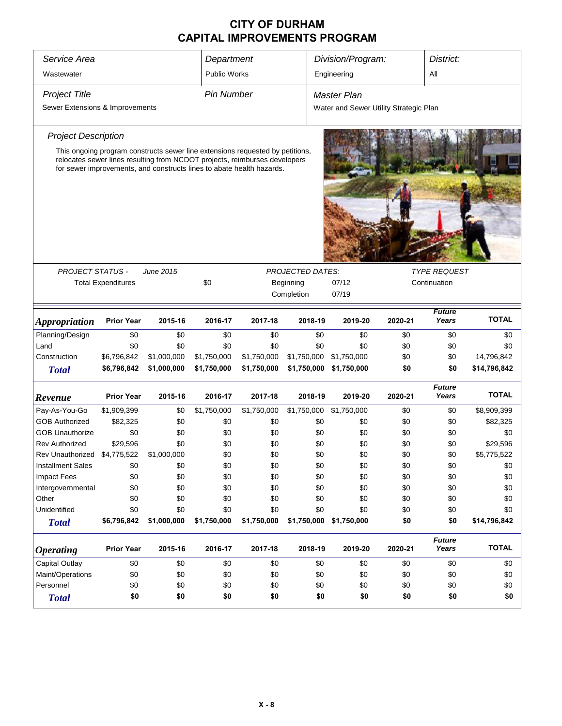| Service Area                    |                           |                                                                                                                                                     | Department          |             |                         | Division/Program:<br>District:         |             |              |                        |              |  |  |
|---------------------------------|---------------------------|-----------------------------------------------------------------------------------------------------------------------------------------------------|---------------------|-------------|-------------------------|----------------------------------------|-------------|--------------|------------------------|--------------|--|--|
| Wastewater                      |                           |                                                                                                                                                     | <b>Public Works</b> |             |                         |                                        | Engineering |              | All                    |              |  |  |
| <b>Project Title</b>            |                           |                                                                                                                                                     | <b>Pin Number</b>   |             |                         |                                        | Master Plan |              |                        |              |  |  |
| Sewer Extensions & Improvements |                           |                                                                                                                                                     |                     |             |                         | Water and Sewer Utility Strategic Plan |             |              |                        |              |  |  |
| <b>Project Description</b>      |                           |                                                                                                                                                     |                     |             |                         |                                        |             |              |                        |              |  |  |
|                                 |                           | This ongoing program constructs sewer line extensions requested by petitions,                                                                       |                     |             |                         |                                        |             |              |                        |              |  |  |
|                                 |                           | relocates sewer lines resulting from NCDOT projects, reimburses developers<br>for sewer improvements, and constructs lines to abate health hazards. |                     |             |                         |                                        |             |              |                        |              |  |  |
|                                 |                           |                                                                                                                                                     |                     |             |                         |                                        |             |              |                        |              |  |  |
|                                 |                           |                                                                                                                                                     |                     |             |                         |                                        |             |              |                        |              |  |  |
|                                 |                           |                                                                                                                                                     |                     |             |                         |                                        |             |              |                        |              |  |  |
|                                 |                           |                                                                                                                                                     |                     |             |                         |                                        |             |              |                        |              |  |  |
|                                 |                           |                                                                                                                                                     |                     |             |                         |                                        |             |              |                        |              |  |  |
|                                 |                           |                                                                                                                                                     |                     |             |                         |                                        |             |              |                        |              |  |  |
| <b>PROJECT STATUS -</b>         |                           | June 2015                                                                                                                                           |                     |             | <b>PROJECTED DATES:</b> |                                        |             |              | <b>TYPE REQUEST</b>    |              |  |  |
|                                 | <b>Total Expenditures</b> |                                                                                                                                                     | \$0                 |             | Beginning               |                                        | 07/12       | Continuation |                        |              |  |  |
|                                 |                           |                                                                                                                                                     |                     |             | Completion              |                                        | 07/19       |              |                        |              |  |  |
| Appropriation                   | <b>Prior Year</b>         | 2015-16                                                                                                                                             | 2016-17             | 2017-18     | 2018-19                 |                                        | 2019-20     | 2020-21      | <b>Future</b><br>Years | <b>TOTAL</b> |  |  |
| Planning/Design                 | \$0                       | \$0                                                                                                                                                 | \$0                 | \$0         |                         | \$0                                    | \$0         | \$0          | \$0                    | \$0          |  |  |
| Land                            | \$0                       | \$0                                                                                                                                                 | \$0                 | \$0         |                         | \$0                                    | \$0         | \$0          | \$0                    | \$0          |  |  |
| Construction                    | \$6,796,842               | \$1,000,000                                                                                                                                         | \$1,750,000         | \$1,750,000 | \$1,750,000             |                                        | \$1,750,000 | \$0          | \$0                    | 14,796,842   |  |  |
| <b>Total</b>                    | \$6,796,842               | \$1,000,000                                                                                                                                         | \$1,750,000         | \$1,750,000 | \$1,750,000             |                                        | \$1,750,000 | \$0          | \$0                    | \$14,796,842 |  |  |
| Revenue                         | <b>Prior Year</b>         | 2015-16                                                                                                                                             | 2016-17             | 2017-18     | 2018-19                 |                                        | 2019-20     | 2020-21      | <b>Future</b><br>Years | <b>TOTAL</b> |  |  |
| Pay-As-You-Go                   | \$1,909,399               | \$0                                                                                                                                                 | \$1,750,000         | \$1,750,000 | \$1,750,000             |                                        | \$1,750,000 | \$0          | \$0                    | \$8,909,399  |  |  |
| <b>GOB Authorized</b>           | \$82,325                  | \$0                                                                                                                                                 | \$0                 | \$0         |                         | \$0                                    | \$0         | \$0          | \$0                    | \$82,325     |  |  |
| <b>GOB Unauthorize</b>          | \$0                       | \$0                                                                                                                                                 | \$0                 | \$0         |                         | \$0                                    | \$0         | \$0          | \$0                    | \$0          |  |  |
| <b>Rev Authorized</b>           | \$29,596                  | \$0                                                                                                                                                 | \$0                 | \$0         |                         | \$0                                    | \$0         | \$0          | \$0                    | \$29,596     |  |  |
| <b>Rev Unauthorized</b>         | \$4,775,522               | \$1,000,000                                                                                                                                         | \$0                 | \$0         |                         | \$0                                    | \$0         | \$0          | \$0                    | \$5,775,522  |  |  |
| <b>Installment Sales</b>        | \$0                       | \$0                                                                                                                                                 | \$0                 | \$0         |                         | \$0                                    | \$0         | \$0          | \$0                    | \$0          |  |  |
| <b>Impact Fees</b>              | \$0                       | \$0                                                                                                                                                 | \$0                 | \$0         |                         | \$0                                    | \$0         | \$0          | \$0                    | \$0          |  |  |
| Intergovernmental               | \$0                       | \$0                                                                                                                                                 | \$0                 | \$0         |                         | \$0                                    | \$0         | \$0          | \$0                    | \$0          |  |  |
| Other                           | \$0                       | \$0                                                                                                                                                 | \$0                 | \$0         |                         | \$0                                    | \$0         | \$0          | \$0                    | \$0          |  |  |
| Unidentified                    | \$0                       | \$0                                                                                                                                                 | \$0                 | \$0         |                         | \$0                                    | \$0         | \$0          | \$0                    | \$0          |  |  |
| <b>Total</b>                    | \$6,796,842               | \$1,000,000                                                                                                                                         | \$1,750,000         | \$1,750,000 | \$1,750,000             |                                        | \$1,750,000 | \$0          | \$0                    | \$14,796,842 |  |  |
| <b>Operating</b>                | <b>Prior Year</b>         | 2015-16                                                                                                                                             | 2016-17             | 2017-18     | 2018-19                 |                                        | 2019-20     | 2020-21      | <b>Future</b><br>Years | <b>TOTAL</b> |  |  |
| <b>Capital Outlay</b>           | \$0                       | \$0                                                                                                                                                 | \$0                 | \$0         |                         | \$0                                    | \$0         | \$0          | \$0                    | \$0          |  |  |
| Maint/Operations                | \$0                       | \$0                                                                                                                                                 | \$0                 | \$0         |                         | \$0                                    | \$0         | \$0          | \$0                    | \$0          |  |  |
| Personnel                       | \$0                       | \$0                                                                                                                                                 | \$0                 | \$0         |                         | \$0                                    | \$0         | \$0          | \$0                    | \$0          |  |  |
| <b>Total</b>                    | \$0                       | \$0                                                                                                                                                 | \$0                 | \$0         |                         | \$0                                    | \$0         | \$0          | \$0                    | \$0          |  |  |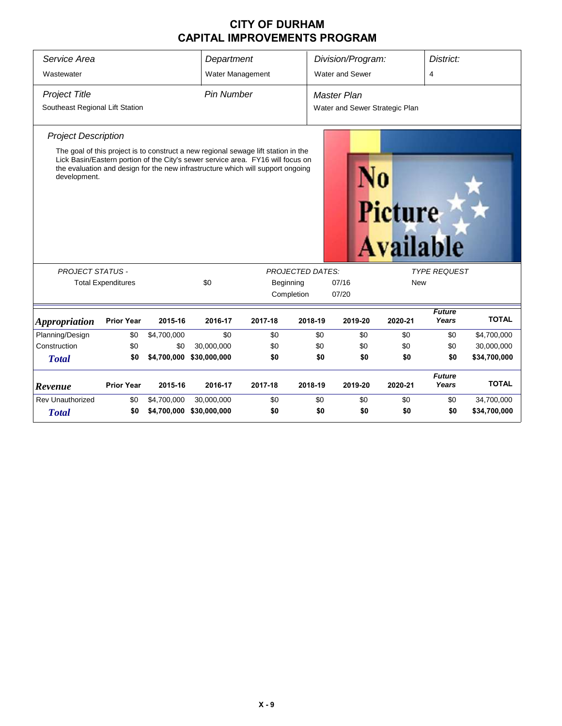| Service Area                    |                           |             | Department                                                                                                                                                                                                                                               |           |                         | Division/Program:              |                                    | District:              |              |  |  |  |
|---------------------------------|---------------------------|-------------|----------------------------------------------------------------------------------------------------------------------------------------------------------------------------------------------------------------------------------------------------------|-----------|-------------------------|--------------------------------|------------------------------------|------------------------|--------------|--|--|--|
| Wastewater                      |                           |             | Water Management                                                                                                                                                                                                                                         |           |                         | Water and Sewer                |                                    | 4                      |              |  |  |  |
| <b>Project Title</b>            |                           |             | <b>Pin Number</b>                                                                                                                                                                                                                                        |           | Master Plan             |                                |                                    |                        |              |  |  |  |
| Southeast Regional Lift Station |                           |             |                                                                                                                                                                                                                                                          |           |                         | Water and Sewer Strategic Plan |                                    |                        |              |  |  |  |
| <b>Project Description</b>      |                           |             |                                                                                                                                                                                                                                                          |           |                         |                                |                                    |                        |              |  |  |  |
| development.                    |                           |             | The goal of this project is to construct a new regional sewage lift station in the<br>Lick Basin/Eastern portion of the City's sewer service area. FY16 will focus on<br>the evaluation and design for the new infrastructure which will support ongoing |           |                         |                                | <b>Picture</b><br><b>Available</b> |                        |              |  |  |  |
| <b>PROJECT STATUS -</b>         |                           |             |                                                                                                                                                                                                                                                          |           | <b>PROJECTED DATES:</b> |                                |                                    | <b>TYPE REQUEST</b>    |              |  |  |  |
|                                 | <b>Total Expenditures</b> |             | \$0                                                                                                                                                                                                                                                      | Beginning |                         | 07/16                          |                                    | <b>New</b>             |              |  |  |  |
|                                 |                           |             |                                                                                                                                                                                                                                                          |           | Completion              | 07/20                          |                                    |                        |              |  |  |  |
| <b>Appropriation</b>            | <b>Prior Year</b>         | 2015-16     | 2016-17                                                                                                                                                                                                                                                  | 2017-18   | 2018-19                 | 2019-20                        | 2020-21                            | <b>Future</b><br>Years | <b>TOTAL</b> |  |  |  |
| Planning/Design                 | \$0                       | \$4,700,000 | \$0                                                                                                                                                                                                                                                      | \$0       | \$0                     | \$0                            | \$0                                | \$0                    | \$4,700,000  |  |  |  |
| Construction                    | \$0                       | \$0         | 30,000,000                                                                                                                                                                                                                                               | \$0       | \$0                     | \$0                            | \$0                                | \$0                    | 30,000,000   |  |  |  |
| <b>Total</b>                    | \$0                       | \$4,700,000 | \$30,000,000                                                                                                                                                                                                                                             | \$0       | \$0                     | \$0                            | \$0                                | \$0                    | \$34,700,000 |  |  |  |
| Revenue                         | <b>Prior Year</b>         | 2015-16     | 2016-17                                                                                                                                                                                                                                                  | 2017-18   | 2018-19                 | 2019-20                        | 2020-21                            | <b>Future</b><br>Years | <b>TOTAL</b> |  |  |  |
| <b>Rev Unauthorized</b>         | \$0                       | \$4,700,000 | 30,000,000                                                                                                                                                                                                                                               | \$0       | \$0                     | \$0                            | \$0                                | \$0                    | 34,700,000   |  |  |  |
| <b>Total</b>                    | \$0                       |             | \$4,700,000 \$30,000,000                                                                                                                                                                                                                                 | \$0       | \$0                     | \$0                            | \$0                                | \$0                    | \$34,700,000 |  |  |  |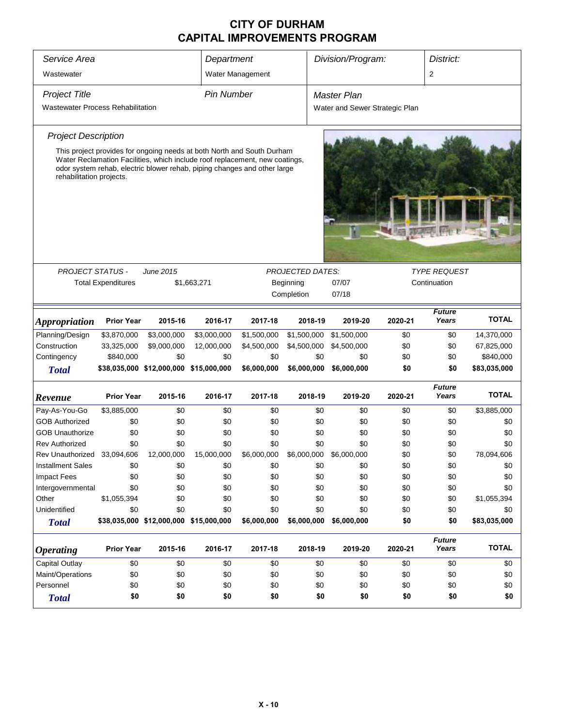| Service Area                             |                           |                                        | Department                                                                                                                                              |                  |                         | Division/Program:              | District: |                        |              |  |
|------------------------------------------|---------------------------|----------------------------------------|---------------------------------------------------------------------------------------------------------------------------------------------------------|------------------|-------------------------|--------------------------------|-----------|------------------------|--------------|--|
| Wastewater                               |                           |                                        |                                                                                                                                                         | Water Management |                         |                                |           | 2                      |              |  |
| <b>Project Title</b>                     |                           |                                        | <b>Pin Number</b>                                                                                                                                       |                  |                         | <b>Master Plan</b>             |           |                        |              |  |
| <b>Wastewater Process Rehabilitation</b> |                           |                                        |                                                                                                                                                         |                  |                         | Water and Sewer Strategic Plan |           |                        |              |  |
| <b>Project Description</b>               |                           |                                        |                                                                                                                                                         |                  |                         |                                |           |                        |              |  |
|                                          |                           |                                        | This project provides for ongoing needs at both North and South Durham                                                                                  |                  |                         |                                |           |                        |              |  |
| rehabilitation projects.                 |                           |                                        | Water Reclamation Facilities, which include roof replacement, new coatings,<br>odor system rehab, electric blower rehab, piping changes and other large |                  |                         |                                |           |                        |              |  |
|                                          |                           |                                        |                                                                                                                                                         |                  |                         |                                |           |                        |              |  |
|                                          |                           |                                        |                                                                                                                                                         |                  |                         |                                |           |                        |              |  |
|                                          |                           |                                        |                                                                                                                                                         |                  |                         |                                |           |                        |              |  |
| PROJECT STATUS -                         |                           | <b>June 2015</b>                       |                                                                                                                                                         |                  | <b>PROJECTED DATES:</b> |                                |           | <b>TYPE REQUEST</b>    |              |  |
|                                          | <b>Total Expenditures</b> |                                        | \$1,663,271                                                                                                                                             |                  | Beginning               | 07/07<br>Continuation          |           |                        |              |  |
|                                          |                           |                                        |                                                                                                                                                         |                  | Completion              | 07/18                          |           |                        |              |  |
|                                          |                           |                                        |                                                                                                                                                         |                  |                         |                                |           | <b>Future</b>          |              |  |
| <i><b>Appropriation</b></i>              | <b>Prior Year</b>         | 2015-16                                | 2016-17                                                                                                                                                 | 2017-18          | 2018-19                 | 2019-20                        | 2020-21   | Years                  | <b>TOTAL</b> |  |
| Planning/Design                          | \$3,870,000               | \$3,000,000                            | \$3,000,000                                                                                                                                             | \$1,500,000      | \$1,500,000             | \$1,500,000                    | \$0       | \$0                    | 14,370,000   |  |
| Construction                             | 33,325,000                | \$9,000,000                            | 12,000,000                                                                                                                                              | \$4,500,000      | \$4,500,000             | \$4,500,000                    | \$0       | \$0                    | 67,825,000   |  |
| Contingency                              | \$840,000                 | \$0                                    | \$0                                                                                                                                                     | \$0              | \$0                     | \$0                            | \$0       | \$0                    | \$840,000    |  |
| <b>Total</b>                             |                           | \$38,035,000 \$12,000,000 \$15,000,000 |                                                                                                                                                         | \$6,000,000      | \$6,000,000             | \$6,000,000                    | \$0       | \$0                    | \$83,035,000 |  |
| Revenue                                  | <b>Prior Year</b>         | 2015-16                                | 2016-17                                                                                                                                                 | 2017-18          | 2018-19                 | 2019-20                        | 2020-21   | <b>Future</b><br>Years | <b>TOTAL</b> |  |
| Pay-As-You-Go                            | \$3,885,000               | \$0                                    | \$0                                                                                                                                                     | \$0              | \$0                     | \$0                            | \$0       | \$0                    | \$3,885,000  |  |
| <b>GOB Authorized</b>                    | \$0                       | \$0                                    | \$0                                                                                                                                                     | \$0              | \$0                     | \$0                            | \$0       | \$0                    | \$0          |  |
| <b>GOB Unauthorize</b>                   | \$0                       | \$0                                    | \$0                                                                                                                                                     | \$0              | \$0                     | \$0                            | \$0       | \$0                    | \$0          |  |
| <b>Rev Authorized</b>                    | \$0                       | \$0                                    | \$0                                                                                                                                                     | \$0              | \$0                     | \$0                            | \$0       | \$0                    | \$0          |  |
| Rev Unauthorized 33,094,606              |                           | 12,000,000                             | 15,000,000                                                                                                                                              | \$6,000,000      | \$6,000,000             | \$6,000,000                    | \$0       | \$0                    | 78,094,606   |  |
| <b>Installment Sales</b>                 | \$0                       | \$0                                    | \$0                                                                                                                                                     | \$0              | \$0                     | \$0                            | \$0       | \$0                    | \$0          |  |
| <b>Impact Fees</b>                       | \$0                       | \$0                                    | \$0                                                                                                                                                     | \$0              | \$0                     | \$0                            | \$0       | \$0                    | \$0          |  |
| Intergovernmental                        | \$0                       | \$0                                    | \$0                                                                                                                                                     | \$0              | \$0                     | \$0                            | \$0       | \$0                    | \$0          |  |
| Other                                    | \$1,055,394               | \$0                                    | \$0                                                                                                                                                     | \$0              | \$0                     | \$0                            | \$0       | \$0                    | \$1,055,394  |  |
| Unidentified                             | \$0                       | \$0                                    | \$0                                                                                                                                                     | \$0              | \$0                     | \$0                            | \$0       | \$0                    | \$0          |  |
| <b>Total</b>                             |                           | \$38,035,000 \$12,000,000 \$15,000,000 |                                                                                                                                                         | \$6,000,000      | \$6,000,000             | \$6,000,000                    | \$0       | \$0                    | \$83,035,000 |  |
| <b>Operating</b>                         | <b>Prior Year</b>         | 2015-16                                | 2016-17                                                                                                                                                 | 2017-18          | 2018-19                 | 2019-20                        | 2020-21   | <b>Future</b><br>Years | <b>TOTAL</b> |  |
| <b>Capital Outlay</b>                    | \$0                       | \$0                                    | \$0                                                                                                                                                     | \$0              | \$0                     | \$0                            | \$0       | \$0                    | \$0          |  |
| Maint/Operations                         | \$0                       | \$0                                    | \$0                                                                                                                                                     | \$0              | \$0                     | \$0                            | \$0       | \$0                    | \$0          |  |
| Personnel                                | \$0                       | \$0                                    | \$0                                                                                                                                                     | \$0              | \$0                     | \$0                            | \$0       | \$0                    | \$0          |  |
| <b>Total</b>                             | \$0                       | \$0                                    | \$0                                                                                                                                                     | \$0              | \$0                     | \$0                            | \$0       | \$0                    | \$0          |  |